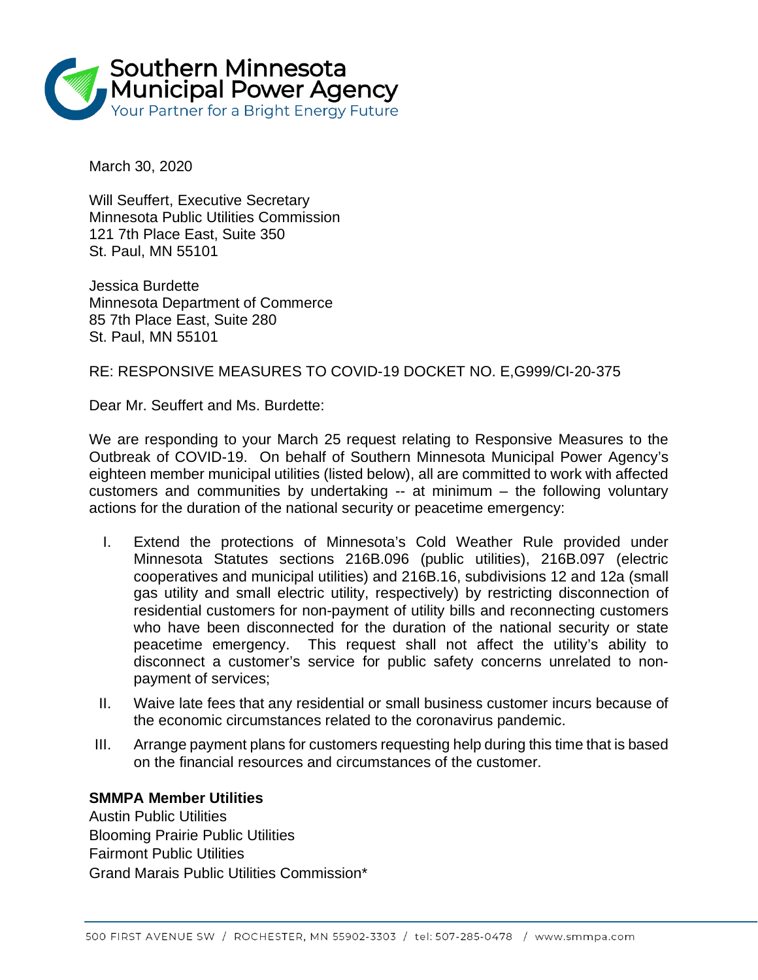

March 30, 2020

Will Seuffert, Executive Secretary Minnesota Public Utilities Commission 121 7th Place East, Suite 350 St. Paul, MN 55101

Jessica Burdette Minnesota Department of Commerce 85 7th Place East, Suite 280 St. Paul, MN 55101

RE: RESPONSIVE MEASURES TO COVID-19 DOCKET NO. E,G999/CI‐20‐375

Dear Mr. Seuffert and Ms. Burdette:

We are responding to your March 25 request relating to Responsive Measures to the Outbreak of COVID-19. On behalf of Southern Minnesota Municipal Power Agency's eighteen member municipal utilities (listed below), all are committed to work with affected customers and communities by undertaking -- at minimum – the following voluntary actions for the duration of the national security or peacetime emergency:

- I. Extend the protections of Minnesota's Cold Weather Rule provided under Minnesota Statutes sections 216B.096 (public utilities), 216B.097 (electric cooperatives and municipal utilities) and 216B.16, subdivisions 12 and 12a (small gas utility and small electric utility, respectively) by restricting disconnection of residential customers for non-payment of utility bills and reconnecting customers who have been disconnected for the duration of the national security or state peacetime emergency. This request shall not affect the utility's ability to disconnect a customer's service for public safety concerns unrelated to nonpayment of services;
- II. Waive late fees that any residential or small business customer incurs because of the economic circumstances related to the coronavirus pandemic.
- III. Arrange payment plans for customers requesting help during this time that is based on the financial resources and circumstances of the customer.

## **SMMPA Member Utilities**

Austin Public Utilities Blooming Prairie Public Utilities Fairmont Public Utilities Grand Marais Public Utilities Commission\*